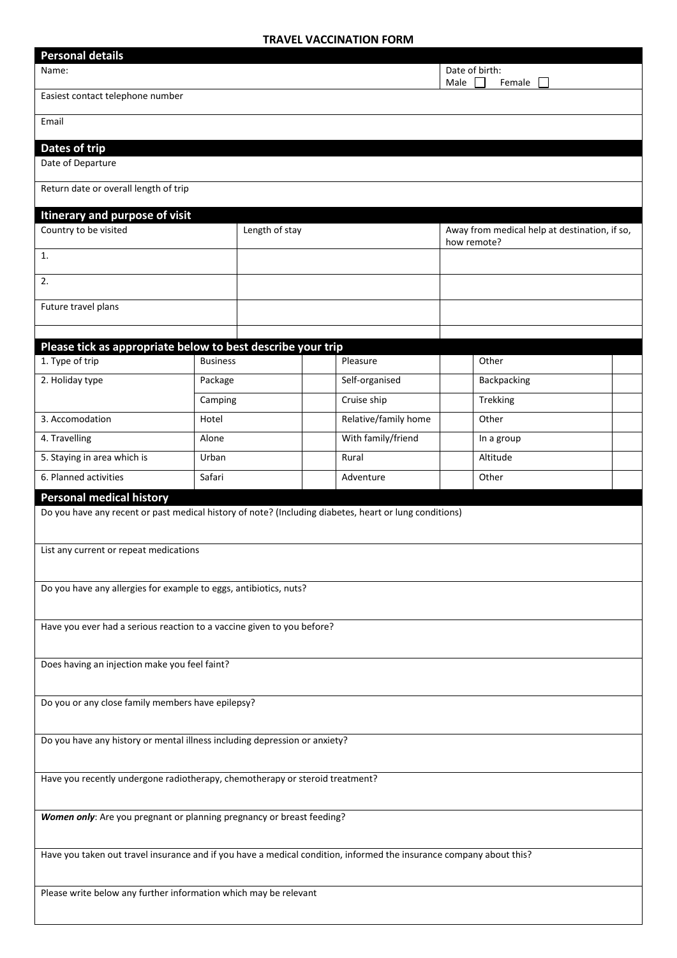## **TRAVEL VACCINATION FORM**

| <b>Personal details</b>                                                                                             |                 |                |                      |                |                                                              |  |  |
|---------------------------------------------------------------------------------------------------------------------|-----------------|----------------|----------------------|----------------|--------------------------------------------------------------|--|--|
| Name:                                                                                                               |                 |                |                      | Date of birth: |                                                              |  |  |
| Male<br>Female<br>Easiest contact telephone number                                                                  |                 |                |                      |                |                                                              |  |  |
| Email                                                                                                               |                 |                |                      |                |                                                              |  |  |
| Dates of trip                                                                                                       |                 |                |                      |                |                                                              |  |  |
| Date of Departure                                                                                                   |                 |                |                      |                |                                                              |  |  |
| Return date or overall length of trip                                                                               |                 |                |                      |                |                                                              |  |  |
| Itinerary and purpose of visit                                                                                      |                 |                |                      |                |                                                              |  |  |
| Country to be visited                                                                                               |                 | Length of stay |                      |                | Away from medical help at destination, if so,<br>how remote? |  |  |
| 1.                                                                                                                  |                 |                |                      |                |                                                              |  |  |
| 2.                                                                                                                  |                 |                |                      |                |                                                              |  |  |
| Future travel plans                                                                                                 |                 |                |                      |                |                                                              |  |  |
|                                                                                                                     |                 |                |                      |                |                                                              |  |  |
| Please tick as appropriate below to best describe your trip                                                         |                 |                |                      |                |                                                              |  |  |
| 1. Type of trip                                                                                                     | <b>Business</b> |                | Pleasure             |                | Other                                                        |  |  |
| 2. Holiday type                                                                                                     | Package         |                | Self-organised       |                | Backpacking                                                  |  |  |
|                                                                                                                     | Camping         |                | Cruise ship          |                | Trekking                                                     |  |  |
| 3. Accomodation                                                                                                     | Hotel           |                | Relative/family home |                | Other                                                        |  |  |
| 4. Travelling                                                                                                       | Alone           |                | With family/friend   |                | In a group                                                   |  |  |
| 5. Staying in area which is                                                                                         | Urban           |                | Rural                |                | Altitude                                                     |  |  |
| 6. Planned activities                                                                                               | Safari          |                | Adventure            |                | Other                                                        |  |  |
| <b>Personal medical history</b>                                                                                     |                 |                |                      |                |                                                              |  |  |
| Do you have any recent or past medical history of note? (Including diabetes, heart or lung conditions)              |                 |                |                      |                |                                                              |  |  |
| List any current or repeat medications                                                                              |                 |                |                      |                |                                                              |  |  |
|                                                                                                                     |                 |                |                      |                |                                                              |  |  |
| Do you have any allergies for example to eggs, antibiotics, nuts?                                                   |                 |                |                      |                |                                                              |  |  |
|                                                                                                                     |                 |                |                      |                |                                                              |  |  |
| Have you ever had a serious reaction to a vaccine given to you before?                                              |                 |                |                      |                |                                                              |  |  |
|                                                                                                                     |                 |                |                      |                |                                                              |  |  |
| Does having an injection make you feel faint?                                                                       |                 |                |                      |                |                                                              |  |  |
|                                                                                                                     |                 |                |                      |                |                                                              |  |  |
| Do you or any close family members have epilepsy?                                                                   |                 |                |                      |                |                                                              |  |  |
|                                                                                                                     |                 |                |                      |                |                                                              |  |  |
| Do you have any history or mental illness including depression or anxiety?                                          |                 |                |                      |                |                                                              |  |  |
|                                                                                                                     |                 |                |                      |                |                                                              |  |  |
| Have you recently undergone radiotherapy, chemotherapy or steroid treatment?                                        |                 |                |                      |                |                                                              |  |  |
|                                                                                                                     |                 |                |                      |                |                                                              |  |  |
| Women only: Are you pregnant or planning pregnancy or breast feeding?                                               |                 |                |                      |                |                                                              |  |  |
|                                                                                                                     |                 |                |                      |                |                                                              |  |  |
| Have you taken out travel insurance and if you have a medical condition, informed the insurance company about this? |                 |                |                      |                |                                                              |  |  |
| Please write below any further information which may be relevant                                                    |                 |                |                      |                |                                                              |  |  |
|                                                                                                                     |                 |                |                      |                |                                                              |  |  |